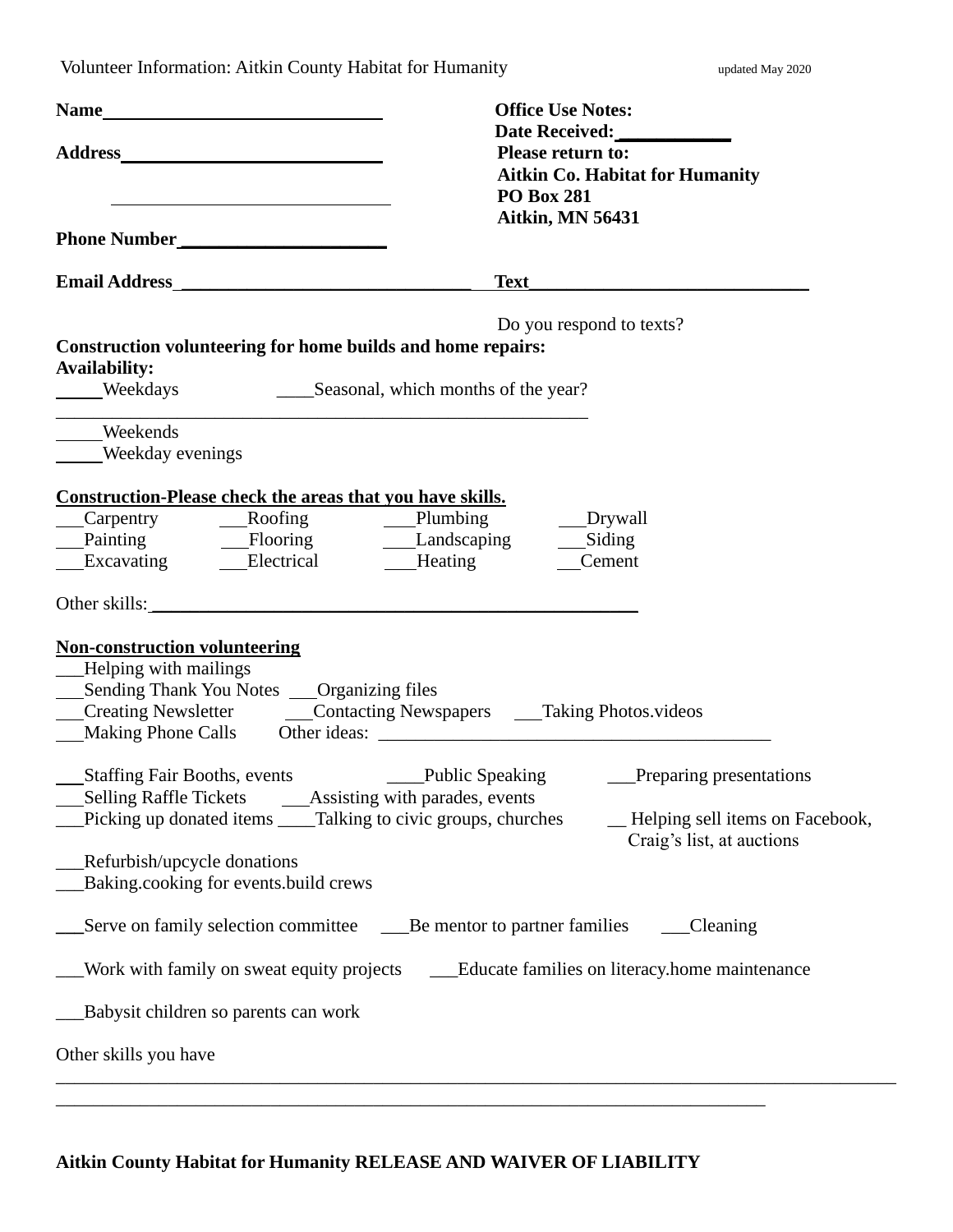Volunteer Information: Aitkin County Habitat for Humanity **Example 2018** updated May 2020

| <u> 1989 - Johann Barbara, martin amerikan basar dan berasal dan berasal dalam basar dalam basar dalam basar dala</u>                                        | <b>Office Use Notes:</b><br>Date Received:<br><b>Please return to:</b><br><b>Aitkin Co. Habitat for Humanity</b><br><b>PO Box 281</b> |
|--------------------------------------------------------------------------------------------------------------------------------------------------------------|---------------------------------------------------------------------------------------------------------------------------------------|
| Phone Number                                                                                                                                                 | <b>Aitkin, MN 56431</b>                                                                                                               |
|                                                                                                                                                              |                                                                                                                                       |
| Construction volunteering for home builds and home repairs:<br><b>Availability:</b><br>Weekdays Seasonal, which months of the year?                          | Do you respond to texts?                                                                                                              |
| ____Weekends<br>Weekday evenings                                                                                                                             |                                                                                                                                       |
| <b>Construction-Please check the areas that you have skills.</b><br>Painting — Flooring — Landscaping — Siding<br>Excavating — Electrical — Heating — Cement | __Drywall<br>Cement                                                                                                                   |
| Other skills:                                                                                                                                                |                                                                                                                                       |
| <b>Non-construction volunteering</b><br>-Helping with mailings<br>__Sending Thank You Notes __Organizing files                                               | Creating Newsletter _________Contacting Newspapers _______Taking Photos.videos                                                        |
| Picking up donated items _____Talking to civic groups, churches<br><b>Refurbish/upcycle donations</b>                                                        | -Helping sell items on Facebook,<br>Craig's list, at auctions                                                                         |
| Baking.cooking for events.build crews                                                                                                                        | Be mentor to partner families<br>Cleaning                                                                                             |
| Work with family on sweat equity projects                                                                                                                    | _Educate families on literacy.home maintenance                                                                                        |
| Babysit children so parents can work                                                                                                                         |                                                                                                                                       |
| Other skills you have                                                                                                                                        |                                                                                                                                       |
|                                                                                                                                                              |                                                                                                                                       |